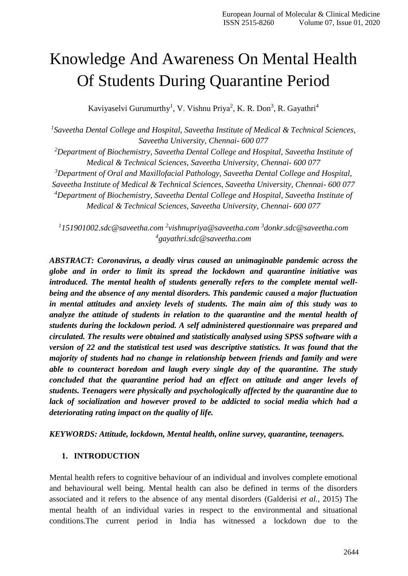# Knowledge And Awareness On Mental Health Of Students During Quarantine Period

Kaviyaselvi Gurumurthy<sup>1</sup>, V. Vishnu Priya<sup>2</sup>, K. R. Don<sup>3</sup>, R. Gayathri<sup>4</sup>

*1 Saveetha Dental College and Hospital, Saveetha Institute of Medical & Technical Sciences, Saveetha University, Chennai- 600 077*

*<sup>2</sup>Department of Biochemistry, Saveetha Dental College and Hospital, Saveetha Institute of Medical & Technical Sciences, Saveetha University, Chennai- 600 077*

*<sup>3</sup>Department of Oral and Maxillofacial Pathology, Saveetha Dental College and Hospital,* 

*Saveetha Institute of Medical & Technical Sciences, Saveetha University, Chennai- 600 077*

*<sup>4</sup>Department of Biochemistry, Saveetha Dental College and Hospital, Saveetha Institute of Medical & Technical Sciences, Saveetha University, Chennai- 600 077*

*1 [151901002.sdc@saveetha.com](mailto:151901002.sdc@saveetha.com) <sup>2</sup> [vishnupriya@saveetha.com](mailto:vishnupriya@saveetha.com) <sup>3</sup> [donkr.sdc@saveetha.com](mailto:donkr.sdc@saveetha.com) 4 [gayathri.sdc@saveetha.com](mailto:gayathri.sdc@saveetha.com)*

*ABSTRACT: Coronavirus, a deadly virus caused an unimaginable pandemic across the globe and in order to limit its spread the lockdown and quarantine initiative was introduced. The mental health of students generally refers to the complete mental wellbeing and the absence of any mental disorders. This pandemic caused a major fluctuation in mental attitudes and anxiety levels of students. The main aim of this study was to analyze the attitude of students in relation to the quarantine and the mental health of students during the lockdown period. A self administered questionnaire was prepared and circulated. The results were obtained and statistically analysed using SPSS software with a version of 22 and the statistical test used was descriptive statistics. It was found that the majority of students had no change in relationship between friends and family and were able to counteract boredom and laugh every single day of the quarantine. The study concluded that the quarantine period had an effect on attitude and anger levels of students. Teenagers were physically and psychologically affected by the quarantine due to lack of socialization and however proved to be addicted to social media which had a deteriorating rating impact on the quality of life.*

*KEYWORDS: Attitude, lockdown, Mental health, online survey, quarantine, teenagers.*

#### **1. INTRODUCTION**

Mental health refers to cognitive behaviour of an individual and involves complete emotional and behavioural well being. Mental health can also be defined in terms of the disorders associated and it refers to the absence of any mental disorders [\(Galderisi](https://paperpile.com/c/dARbqZ/mSdB7) *et al.*, 2015) The mental health of an individual varies in respect to the environmental and situational conditions.The current period in India has witnessed a lockdown due to the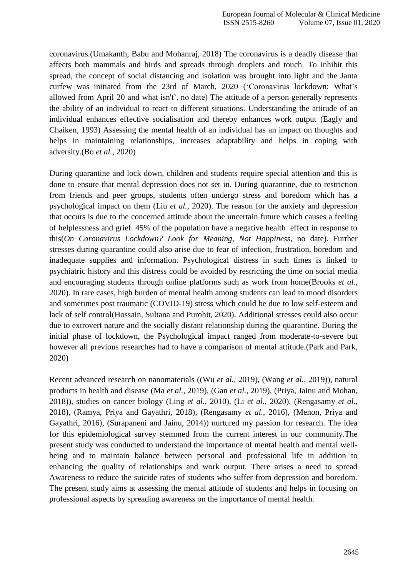coronavirus[.\(Umakanth, Babu and Mohanraj, 2018\)](https://paperpile.com/c/dARbqZ/cseeU) The coronavirus is a deadly disease that affects both mammals and birds and spreads through droplets and touch. To inhibit this spread, the concept of social distancing and isolation was brought into light and the Janta curfew was initiated from the 23rd of March, 2020 [\('Coronavirus](https://paperpile.com/c/dARbqZ/7cOvW) lockdown: What's [allowed](https://paperpile.com/c/dARbqZ/7cOvW) from April 20 and what [isn't', no date\) T](https://paperpile.com/c/dARbqZ/7cOvW)he attitude of a person generally represents the ability of an individual to react to different situations. Understanding the attitude of an individual enhances effective socialisation and thereby enhances work output [\(Eagly and](https://paperpile.com/c/dARbqZ/O1sSY)  [Chaiken, 1993\)](https://paperpile.com/c/dARbqZ/O1sSY) Assessing the mental health of an individual has an impact on thoughts and helps in maintaining relationships, increases adaptability and helps in coping with adversity.(Bo *et al.*[, 2020\)](https://paperpile.com/c/dARbqZ/5etRf)

During quarantine and lock down, children and students require special attention and this is done to ensure that mental depression does not set in. During quarantine, due to restriction from friends and peer groups, students often undergo stress and boredom which has a psychological impact on them (Liu *et al.*[, 2020\).](https://paperpile.com/c/dARbqZ/qoEUU) The reason for the anxiety and depression that occurs is due to the concerned attitude about the uncertain future which causes a feeling of helplessness and grief. 45% of the population have a negative health effect in response to this(*[On Coronavirus Lockdown? Look for Meaning, Not Happiness](https://paperpile.com/c/dARbqZ/8vKfm)*, no date). Further stresses during quarantine could also arise due to fear of infection, frustration, boredom and inadequate supplies and information. Psychological distress in such times is linked to psychiatric history and this distress could be avoided by restricting the time on social media and encouraging students through online platforms such as work from hom[e\(Brooks](https://paperpile.com/c/dARbqZ/dwXII) *et al.*, [2020\). I](https://paperpile.com/c/dARbqZ/dwXII)n rare cases, high burden of mental health among students can lead to mood disorders and sometimes post traumatic (COVID-19) stress which could be due to low self-esteem and lack of self contro[l\(Hossain, Sultana and Purohit, 2020\).](https://paperpile.com/c/dARbqZ/ek2mX) Additional stresses could also occur due to extrovert nature and the socially distant relationship during the quarantine. During the initial phase of lockdown, the Psychological impact ranged from moderate-to-severe but however all previous researches had to have a comparison of mental attitude[.\(Park and Park,](https://paperpile.com/c/dARbqZ/G6lim)  [2020\)](https://paperpile.com/c/dARbqZ/G6lim)

Recent advanced research on nanomaterials ((Wu *et al.*[, 2019\), \(](https://paperpile.com/c/dARbqZ/5Oplg)Wang *et al.*[, 2019\)\)](https://paperpile.com/c/dARbqZ/5Oplg), natural products in health and disease (Ma *et al.*[, 2019\),](https://paperpile.com/c/dARbqZ/hkC0r) (Gan *et al.*[, 2019\),](https://paperpile.com/c/dARbqZ/azvlr) [\(Priya, Jainu and Mohan,](https://paperpile.com/c/dARbqZ/xF3Ob)  [2018\)\)](https://paperpile.com/c/dARbqZ/xF3Ob), studies on cancer biology (Ling *et al.*[, 2010\),](https://paperpile.com/c/dARbqZ/X1eBS) (Li *et al.*[, 2020\),](https://paperpile.com/c/dARbqZ/ebuba) [\(Rengasamy](https://paperpile.com/c/dARbqZ/adUp4) *et al.*, [2018\),](https://paperpile.com/c/dARbqZ/adUp4) [\(Ramya, Priya and Gayathri, 2018\),](https://paperpile.com/c/dARbqZ/hmX4e) [\(Rengasamy](https://paperpile.com/c/dARbqZ/LFJ7Q) *et al.*, 2016), [\(Menon, Priya and](https://paperpile.com/c/dARbqZ/kS165)  [Gayathri, 2016\),](https://paperpile.com/c/dARbqZ/kS165) [\(Surapaneni and Jainu, 2014\)\)](https://paperpile.com/c/dARbqZ/Cn81q) nurtured my passion for research. The idea for this epidemiological survey stemmed from the current interest in our community.The present study was conducted to understand the importance of mental health and mental wellbeing and to maintain balance between personal and professional life in addition to enhancing the quality of relationships and work output. There arises a need to spread Awareness to reduce the suicide rates of students who suffer from depression and boredom. The present study aims at assessing the mental attitude of students and helps in focusing on professional aspects by spreading awareness on the importance of mental health.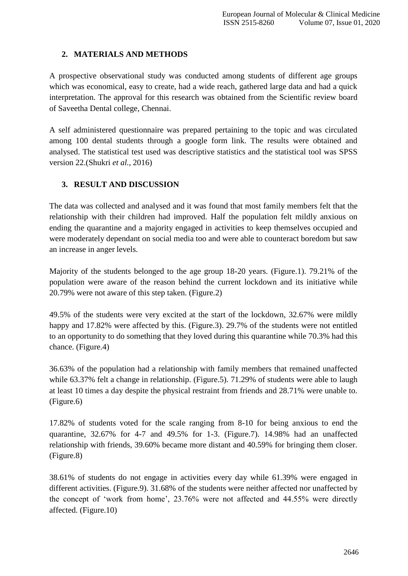## **2. MATERIALS AND METHODS**

A prospective observational study was conducted among students of different age groups which was economical, easy to create, had a wide reach, gathered large data and had a quick interpretation. The approval for this research was obtained from the Scientific review board of Saveetha Dental college, Chennai.

A self administered questionnaire was prepared pertaining to the topic and was circulated among 100 dental students through a google form link. The results were obtained and analysed. The statistical test used was descriptive statistics and the statistical tool was SPSS version 22[.\(Shukri](https://paperpile.com/c/dARbqZ/bgW1I) *et al.*, 2016)

## **3. RESULT AND DISCUSSION**

The data was collected and analysed and it was found that most family members felt that the relationship with their children had improved. Half the population felt mildly anxious on ending the quarantine and a majority engaged in activities to keep themselves occupied and were moderately dependant on social media too and were able to counteract boredom but saw an increase in anger levels.

Majority of the students belonged to the age group 18-20 years. (Figure.1). 79.21% of the population were aware of the reason behind the current lockdown and its initiative while 20.79% were not aware of this step taken. (Figure.2)

49.5% of the students were very excited at the start of the lockdown, 32.67% were mildly happy and 17.82% were affected by this. (Figure.3). 29.7% of the students were not entitled to an opportunity to do something that they loved during this quarantine while 70.3% had this chance. (Figure.4)

36.63% of the population had a relationship with family members that remained unaffected while 63.37% felt a change in relationship. (Figure.5). 71.29% of students were able to laugh at least 10 times a day despite the physical restraint from friends and 28.71% were unable to. (Figure.6)

17.82% of students voted for the scale ranging from 8-10 for being anxious to end the quarantine, 32.67% for 4-7 and 49.5% for 1-3. (Figure.7). 14.98% had an unaffected relationship with friends, 39.60% became more distant and 40.59% for bringing them closer. (Figure.8)

38.61% of students do not engage in activities every day while 61.39% were engaged in different activities. (Figure.9). 31.68% of the students were neither affected nor unaffected by the concept of 'work from home', 23.76% were not affected and 44.55% were directly affected. (Figure.10)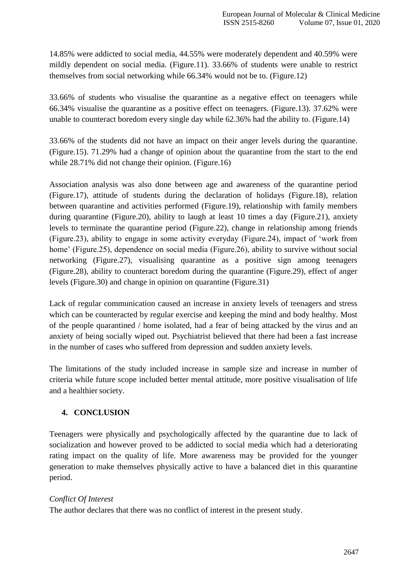14.85% were addicted to social media, 44.55% were moderately dependent and 40.59% were mildly dependent on social media. (Figure.11). 33.66% of students were unable to restrict themselves from social networking while 66.34% would not be to. (Figure.12)

33.66% of students who visualise the quarantine as a negative effect on teenagers while 66.34% visualise the quarantine as a positive effect on teenagers. (Figure.13). 37.62% were unable to counteract boredom every single day while 62.36% had the ability to. (Figure.14)

33.66% of the students did not have an impact on their anger levels during the quarantine. (Figure.15). 71.29% had a change of opinion about the quarantine from the start to the end while 28.71% did not change their opinion. (Figure.16)

Association analysis was also done between age and awareness of the quarantine period (Figure.17), attitude of students during the declaration of holidays (Figure.18), relation between quarantine and activities performed (Figure.19), relationship with family members during quarantine (Figure.20), ability to laugh at least 10 times a day (Figure.21), anxiety levels to terminate the quarantine period (Figure.22), change in relationship among friends (Figure.23), ability to engage in some activity everyday (Figure.24), impact of 'work from home' (Figure.25), dependence on social media (Figure.26), ability to survive without social networking (Figure.27), visualising quarantine as a positive sign among teenagers (Figure.28), ability to counteract boredom during the quarantine (Figure.29), effect of anger levels (Figure.30) and change in opinion on quarantine (Figure.31)

Lack of regular communication caused an increase in anxiety levels of teenagers and stress which can be counteracted by regular exercise and keeping the mind and body healthy. Most of the people quarantined / home isolated, had a fear of being attacked by the virus and an anxiety of being socially wiped out. Psychiatrist believed that there had been a fast increase in the number of cases who suffered from depression and sudden anxiety levels.

The limitations of the study included increase in sample size and increase in number of criteria while future scope included better mental attitude, more positive visualisation of life and a healthier society.

#### **4. CONCLUSION**

Teenagers were physically and psychologically affected by the quarantine due to lack of socialization and however proved to be addicted to social media which had a deteriorating rating impact on the quality of life. More awareness may be provided for the younger generation to make themselves physically active to have a balanced diet in this quarantine period.

#### *Conflict Of Interest*

The author declares that there was no conflict of interest in the present study.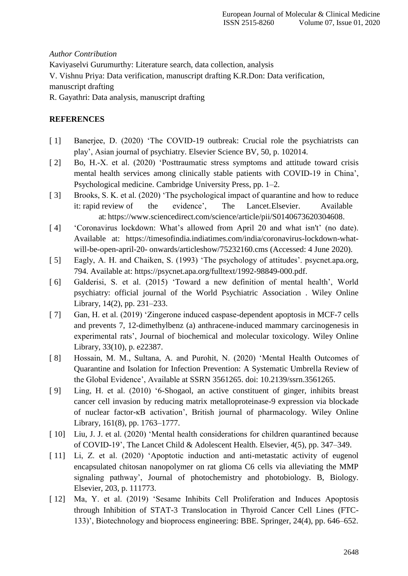#### *Author Contribution*

Kaviyaselvi Gurumurthy: Literature search, data collection, analysis V. Vishnu Priya: Data verification, manuscript drafting K.R.Don: Data verification, manuscript drafting

R. Gayathri: Data analysis, manuscript drafting

### **REFERENCES**

- [1] Banerjee, D. (2020) 'The COVID-19 outbreak: Crucial role the psychiatrists can [play', Asian journal](http://paperpile.com/b/dARbqZ/iYn31) [of psychiatry. Elsevier Science BV, 50, p.](http://paperpile.com/b/dARbqZ/iYn31) 102014.
- [2] Bo, H.-X. et al. (2020) 'Posttraumatic stress symptoms and attitude toward crisis [mental health](http://paperpile.com/b/dARbqZ/5etRf) [services among clinically stable patients with COVID-19 in China',](http://paperpile.com/b/dARbqZ/5etRf)  [Psychological medicine. Cambridge](http://paperpile.com/b/dARbqZ/5etRf) [University Press, pp.](http://paperpile.com/b/dARbqZ/5etRf) 1–2.
- [ 3] [Brooks, S. K. et al. \(2020\) 'The psychological impact of quarantine and how to reduce](http://paperpile.com/b/dARbqZ/dwXII)  [it: rapid review](http://paperpile.com/b/dARbqZ/dwXII) of the evidence', The [Lancet.Elsevier.](http://paperpile.com/b/dARbqZ/dwXII) Available [at:](http://paperpile.com/b/dARbqZ/dwXII) [https://www.sciencedirect.com/science/article/pii/S0140673620304608.](https://www.sciencedirect.com/science/article/pii/S0140673620304608)
- [ 4] ['Coronavirus lockdown: What's allowed from April 20 and what isn't' \(no date\).](http://paperpile.com/b/dARbqZ/7cOvW)  [Available at:](http://paperpile.com/b/dARbqZ/7cOvW) [https://timesofindia.indiatimes.com/india/coronavirus-lockdown-what](https://timesofindia.indiatimes.com/india/coronavirus-lockdown-what-will-be-open-april-20-onwards/articleshow/75232160.cms)[will-be-open-april-20-](https://timesofindia.indiatimes.com/india/coronavirus-lockdown-what-will-be-open-april-20-onwards/articleshow/75232160.cms) [onwards/articleshow/75232160.cms \(Accessed: 4 June](https://timesofindia.indiatimes.com/india/coronavirus-lockdown-what-will-be-open-april-20-onwards/articleshow/75232160.cms) 2020).
- [ 5] [Eagly, A. H. and Chaiken, S. \(1993\) 'The psychology of attitudes'. psycnet.apa.org,](http://paperpile.com/b/dARbqZ/O1sSY)  [794. Available at:](http://paperpile.com/b/dARbqZ/O1sSY) [https://psycnet.apa.org/fulltext/1992-98849-000.pdf.](https://psycnet.apa.org/fulltext/1992-98849-000.pdf)
- [6] Galderisi, S. et al. (2015) 'Toward a new definition of mental health', World [psychiatry: official](http://paperpile.com/b/dARbqZ/mSdB7) [journal of the World Psychiatric Association . Wiley Online](http://paperpile.com/b/dARbqZ/mSdB7)  [Library, 14\(2\), pp.](http://paperpile.com/b/dARbqZ/mSdB7) 231–233.
- [ 7] [Gan, H. et al. \(2019\) 'Zingerone induced caspase-dependent apoptosis in MCF-7 cells](http://paperpile.com/b/dARbqZ/azvlr)  [and prevents 7,](http://paperpile.com/b/dARbqZ/azvlr) 12-dimethylbenz (a) [anthracene-induced mammary carcinogenesis in](http://paperpile.com/b/dARbqZ/azvlr)  [experimental rats', Journal of](http://paperpile.com/b/dARbqZ/azvlr) [biochemical and molecular toxicology. Wiley Online](http://paperpile.com/b/dARbqZ/azvlr)  [Library, 33\(10\), p.](http://paperpile.com/b/dARbqZ/azvlr) e22387.
- [ 8] [Hossain, M. M., Sultana, A. and Purohit, N. \(2020\) 'Mental Health Outcomes of](http://paperpile.com/b/dARbqZ/ek2mX)  [Quarantine and](http://paperpile.com/b/dARbqZ/ek2mX) [Isolation for Infection Prevention: A Systematic Umbrella Review of](http://paperpile.com/b/dARbqZ/ek2mX)  [the Global Evidence', Available at](http://paperpile.com/b/dARbqZ/ek2mX) [SSRN 3561265. doi: 10.2139/ssrn.3561265.](http://paperpile.com/b/dARbqZ/ek2mX)
- [ 9] [Ling, H. et al. \(2010\) '6-Shogaol, an active constituent of ginger, inhibits breast](http://paperpile.com/b/dARbqZ/X1eBS)  [cancer cell invasion](http://paperpile.com/b/dARbqZ/X1eBS) [by reducing matrix metalloproteinase-9 expression via blockade](http://paperpile.com/b/dARbqZ/X1eBS)  [of nuclear factor-κB activation', British](http://paperpile.com/b/dARbqZ/X1eBS) [journal of pharmacology. Wiley Online](http://paperpile.com/b/dARbqZ/X1eBS)  [Library, 161\(8\), pp.](http://paperpile.com/b/dARbqZ/X1eBS) 1763–1777.
- [10] Liu, J. J. et al. (2020) 'Mental health considerations for children quarantined because [of COVID-19',](http://paperpile.com/b/dARbqZ/qoEUU) [The Lancet Child & Adolescent Health. Elsevier, 4\(5\), pp.](http://paperpile.com/b/dARbqZ/qoEUU) 347–349.
- [11] Li, Z. et al. (2020) 'Apoptotic induction and anti-metastatic activity of eugenol [encapsulated chitosan](http://paperpile.com/b/dARbqZ/ebuba) [nanopolymer on rat glioma C6 cells via alleviating the MMP](http://paperpile.com/b/dARbqZ/ebuba)  [signaling pathway', Journal of](http://paperpile.com/b/dARbqZ/ebuba) [photochemistry and photobiology. B, Biology.](http://paperpile.com/b/dARbqZ/ebuba)  [Elsevier, 203, p.](http://paperpile.com/b/dARbqZ/ebuba) 111773.
- [12] Ma, Y. et al. (2019) 'Sesame Inhibits Cell Proliferation and Induces Apoptosis [through Inhibition of](http://paperpile.com/b/dARbqZ/hkC0r) [STAT-3 Translocation in Thyroid Cancer Cell Lines \(FTC-](http://paperpile.com/b/dARbqZ/hkC0r)[133\)', Biotechnology and bioprocess](http://paperpile.com/b/dARbqZ/hkC0r) [engineering: BBE. Springer, 24\(4\), pp.](http://paperpile.com/b/dARbqZ/hkC0r) 646–652.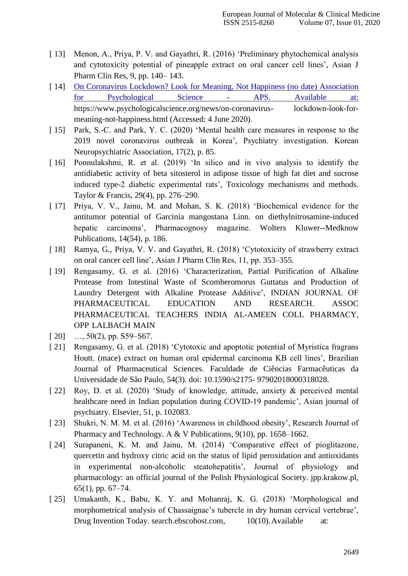- [ 13] [Menon, A., Priya, P. V. and Gayathri, R. \(2016\) 'Preliminary phytochemical analysis](http://paperpile.com/b/dARbqZ/kS165)  [and](http://paperpile.com/b/dARbqZ/kS165) [cytotoxicity potential of pineapple extract on oral cancer cell lines', Asian J](http://paperpile.com/b/dARbqZ/kS165)  [Pharm Clin Res, 9, pp. 140–](http://paperpile.com/b/dARbqZ/kS165) [143.](http://paperpile.com/b/dARbqZ/kS165)
- [ 14] On Coronavirus Lockdown? Look for Meaning, Not Happiness (no date) Association for Psychological Science - APS. Available at: [https://www.psychologicalscience.org/news/on-coronavirus-](https://www.psychologicalscience.org/news/on-coronavirus-lockdown-look-for-meaning-not-happiness.html) [lockdown-look-for](https://www.psychologicalscience.org/news/on-coronavirus-lockdown-look-for-meaning-not-happiness.html)[meaning-not-happiness.html \(Accessed: 4 June](https://www.psychologicalscience.org/news/on-coronavirus-lockdown-look-for-meaning-not-happiness.html) 2020).
- [ 15] Park, S.-C. and Park, Y. C. (2020) 'Mental health care measures in response to the [2019 novel](http://paperpile.com/b/dARbqZ/G6lim) [coronavirus outbreak in Korea', Psychiatry investigation. Korean](http://paperpile.com/b/dARbqZ/G6lim)  [Neuropsychiatric Association, 17\(2\), p.](http://paperpile.com/b/dARbqZ/G6lim) [85.](http://paperpile.com/b/dARbqZ/G6lim)
- [16] Ponnulakshmi, R. et al. (2019) 'In silico and in vivo analysis to identify the [antidiabetic activity of](http://paperpile.com/b/dARbqZ/GRaMa) [beta sitosterol in adipose tissue of high fat diet and sucrose](http://paperpile.com/b/dARbqZ/GRaMa)  [induced type-2 diabetic experimental rats',](http://paperpile.com/b/dARbqZ/GRaMa) [Toxicology mechanisms and methods.](http://paperpile.com/b/dARbqZ/GRaMa)  [Taylor & Francis, 29\(4\), pp.](http://paperpile.com/b/dARbqZ/GRaMa) 276–290.
- [ 17] [Priya, V. V., Jainu, M. and Mohan, S. K. \(2018\) 'Biochemical evidence for the](http://paperpile.com/b/dARbqZ/xF3Ob)  [antitumor potential of](http://paperpile.com/b/dARbqZ/xF3Ob) [Garcinia mangostana Linn. on diethylnitrosamine-induced](http://paperpile.com/b/dARbqZ/xF3Ob)  [hepatic carcinoma', Pharmacognosy magazine.](http://paperpile.com/b/dARbqZ/xF3Ob) [Wolters Kluwer--Medknow](http://paperpile.com/b/dARbqZ/xF3Ob)  [Publications, 14\(54\), p.](http://paperpile.com/b/dARbqZ/xF3Ob) 186.
- [ 18] [Ramya, G., Priya, V. V. and Gayathri, R. \(2018\) 'Cytotoxicity of strawberry extract](http://paperpile.com/b/dARbqZ/hmX4e)  [on oral cancer](http://paperpile.com/b/dARbqZ/hmX4e) [cell line', Asian J Pharm Clin Res, 11, pp.](http://paperpile.com/b/dARbqZ/hmX4e) 353–355.
- [ 19] Rengasamy, G. et al. (2016) 'Characterization, Partial Purification of Alkaline [Protease from](http://paperpile.com/b/dARbqZ/LFJ7Q) [Intestinal Waste of Scomberomorus Guttatus and Production of](http://paperpile.com/b/dARbqZ/LFJ7Q)  [Laundry Detergent with Alkaline Protease](http://paperpile.com/b/dARbqZ/LFJ7Q) [Additive', INDIAN JOURNAL OF](http://paperpile.com/b/dARbqZ/LFJ7Q)  [PHARMACEUTICAL EDUCATION AND RESEARCH. ASSOC](http://paperpile.com/b/dARbqZ/LFJ7Q) [PHARMACEUTICAL](http://paperpile.com/b/dARbqZ/LFJ7Q) TEACHERS INDIA AL-AMEEN COLL PHARMACY, OPP [LALBACH](http://paperpile.com/b/dARbqZ/LFJ7Q) MAIN
- $[20]$  […, 50\(2\), pp. S59–S67.](http://paperpile.com/b/dARbqZ/LFJ7Q)
- [ 21] Rengasamy, G. et al. (2018) 'Cytotoxic and apoptotic potential of Myristica fragrans [Houtt. \(mace\)](http://paperpile.com/b/dARbqZ/adUp4) [extract on human oral epidermal carcinoma KB cell lines', Brazilian](http://paperpile.com/b/dARbqZ/adUp4)  [Journal of Pharmaceutical Sciences.](http://paperpile.com/b/dARbqZ/adUp4) [Faculdade de Ciências Farmacêuticas da](http://paperpile.com/b/dARbqZ/adUp4)  [Universidade de São Paulo, 54\(3\). doi:](http://paperpile.com/b/dARbqZ/adUp4) [10.1590/s2175-](http://paperpile.com/b/dARbqZ/adUp4) [97902018000318028](http://paperpile.com/b/dARbqZ/adUp4)[.](http://dx.doi.org/10.1590/s2175-97902018000318028)
- [ 22] Roy, D. et al. (2020) 'Study of knowledge, attitude, anxiety & perceived mental [healthcare need in](http://paperpile.com/b/dARbqZ/rK8XL) [Indian population during COVID-19 pandemic', Asian journal of](http://paperpile.com/b/dARbqZ/rK8XL)  [psychiatry. Elsevier, 51, p.](http://paperpile.com/b/dARbqZ/rK8XL) 102083.
- [ 23] Shukri, N. M. M. et al. (2016) 'Awareness in childhood obesity', Research Journal of [Pharmacy and](http://paperpile.com/b/dARbqZ/bgW1I) [Technology. A & V Publications, 9\(10\), pp.](http://paperpile.com/b/dARbqZ/bgW1I) 1658–1662.
- [ 24] Surapaneni, K. M. and Jainu, M. (2014) 'Comparative effect of pioglitazone, [quercetin and hydroxy](http://paperpile.com/b/dARbqZ/Cn81q) [citric acid on the status of lipid peroxidation and antioxidants](http://paperpile.com/b/dARbqZ/Cn81q)  [in experimental non-alcoholic](http://paperpile.com/b/dARbqZ/Cn81q) [steatohepatitis', Journal of physiology and](http://paperpile.com/b/dARbqZ/Cn81q)  [pharmacology: an official journal of the Polish Physiological](http://paperpile.com/b/dARbqZ/Cn81q) [Society. jpp.krakow.pl,](http://paperpile.com/b/dARbqZ/Cn81q)  [65\(1\), pp.](http://paperpile.com/b/dARbqZ/Cn81q) 67–74.
- [ 25] Umakanth, K., Babu, K. Y. and Mohanraj, K. G. (2018) 'Morphological and [morphometrical](http://paperpile.com/b/dARbqZ/cseeU) [analysis of Chassaignac's tubercle in dry human cervical vertebrae',](http://paperpile.com/b/dARbqZ/cseeU)  [Drug Invention Today.](http://paperpile.com/b/dARbqZ/cseeU) [search.ebscohost.com,](http://paperpile.com/b/dARbqZ/cseeU) 10(10). Available at[:](http://paperpile.com/b/dARbqZ/cseeU)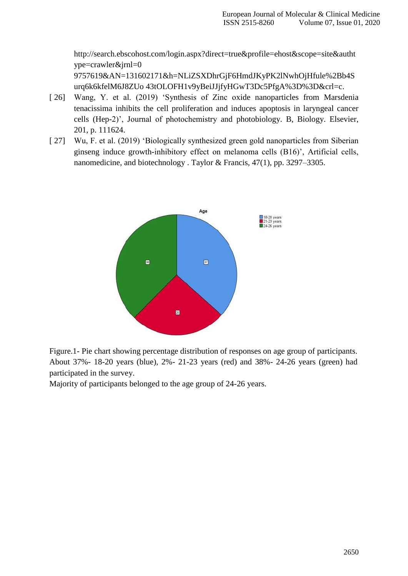[http://search.ebscohost.com/login.aspx?direct=true&profile=ehost&scope=site&autht](http://search.ebscohost.com/login.aspx?direct=true&profile=ehost&scope=site&authtype=crawler&jrnl=09757619&AN=131602171&h=NLiZSXDhrGjF6HmdJKyPK2lNwhOjHfule%2Bb4Surq6k6kfelM6J8ZUo43tOLOFH1v9yBeiJJjfyHGwT3Dc5PfgA%3D%3D&crl=c) [ype=crawler&jrnl=0](http://search.ebscohost.com/login.aspx?direct=true&profile=ehost&scope=site&authtype=crawler&jrnl=09757619&AN=131602171&h=NLiZSXDhrGjF6HmdJKyPK2lNwhOjHfule%2Bb4Surq6k6kfelM6J8ZUo43tOLOFH1v9yBeiJJjfyHGwT3Dc5PfgA%3D%3D&crl=c)

[9757619&AN=131602171&h=NLiZSXDhrGjF6HmdJKyPK2lNwhOjHfule%2Bb4S](http://search.ebscohost.com/login.aspx?direct=true&profile=ehost&scope=site&authtype=crawler&jrnl=09757619&AN=131602171&h=NLiZSXDhrGjF6HmdJKyPK2lNwhOjHfule%2Bb4Surq6k6kfelM6J8ZUo43tOLOFH1v9yBeiJJjfyHGwT3Dc5PfgA%3D%3D&crl=c) [urq6k6kfelM6J8ZUo](http://search.ebscohost.com/login.aspx?direct=true&profile=ehost&scope=site&authtype=crawler&jrnl=09757619&AN=131602171&h=NLiZSXDhrGjF6HmdJKyPK2lNwhOjHfule%2Bb4Surq6k6kfelM6J8ZUo43tOLOFH1v9yBeiJJjfyHGwT3Dc5PfgA%3D%3D&crl=c) [43tOLOFH1v9yBeiJJjfyHGwT3Dc5PfgA%3D%3D&crl=c.](http://search.ebscohost.com/login.aspx?direct=true&profile=ehost&scope=site&authtype=crawler&jrnl=09757619&AN=131602171&h=NLiZSXDhrGjF6HmdJKyPK2lNwhOjHfule%2Bb4Surq6k6kfelM6J8ZUo43tOLOFH1v9yBeiJJjfyHGwT3Dc5PfgA%3D%3D&crl=c)

- [ 26] Wang, Y. et al. (2019) 'Synthesis of Zinc oxide nanoparticles from Marsdenia [tenacissima inhibits](http://paperpile.com/b/dARbqZ/UdTtB) [the cell proliferation and induces apoptosis in laryngeal cancer](http://paperpile.com/b/dARbqZ/UdTtB)  [cells \(Hep-2\)', Journal of photochemistry](http://paperpile.com/b/dARbqZ/UdTtB) [and photobiology. B, Biology. Elsevier,](http://paperpile.com/b/dARbqZ/UdTtB)  201, p. [111624.](http://paperpile.com/b/dARbqZ/UdTtB)
- [ 27] Wu, F. et al. (2019) 'Biologically synthesized green gold nanoparticles from Siberian [ginseng induce](http://paperpile.com/b/dARbqZ/5Oplg) [growth-inhibitory effect on melanoma cells \(B16\)', Artificial cells,](http://paperpile.com/b/dARbqZ/5Oplg)  [nanomedicine, and biotechnology .](http://paperpile.com/b/dARbqZ/5Oplg) [Taylor & Francis, 47\(1\), pp. 3297–3305.](http://paperpile.com/b/dARbqZ/5Oplg)



Figure.1- Pie chart showing percentage distribution of responses on age group of participants. About 37%- 18-20 years (blue), 2%- 21-23 years (red) and 38%- 24-26 years (green) had participated in the survey.

Majority of participants belonged to the age group of 24-26 years.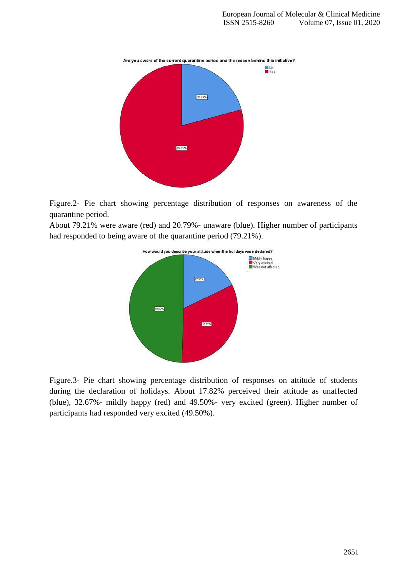

Figure.2- Pie chart showing percentage distribution of responses on awareness of the quarantine period.

About 79.21% were aware (red) and 20.79%- unaware (blue). Higher number of participants had responded to being aware of the quarantine period (79.21%).



Figure.3- Pie chart showing percentage distribution of responses on attitude of students during the declaration of holidays. About 17.82% perceived their attitude as unaffected (blue), 32.67%- mildly happy (red) and 49.50%- very excited (green). Higher number of participants had responded very excited (49.50%).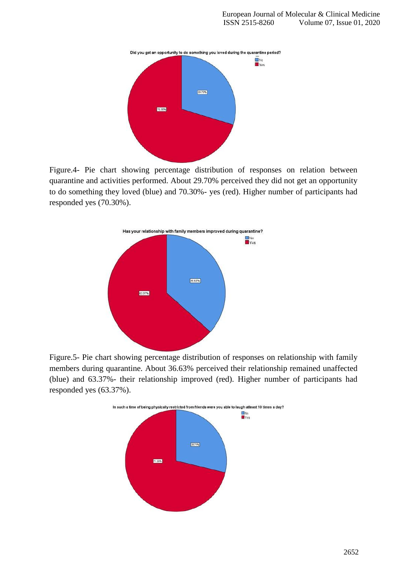

Figure.4- Pie chart showing percentage distribution of responses on relation between quarantine and activities performed. About 29.70% perceived they did not get an opportunity to do something they loved (blue) and 70.30%- yes (red). Higher number of participants had responded yes (70.30%).



Figure.5- Pie chart showing percentage distribution of responses on relationship with family members during quarantine. About 36.63% perceived their relationship remained unaffected (blue) and 63.37%- their relationship improved (red). Higher number of participants had responded yes (63.37%).

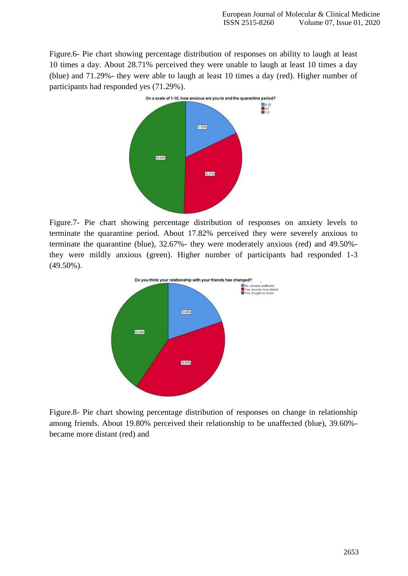Figure.6- Pie chart showing percentage distribution of responses on ability to laugh at least 10 times a day. About 28.71% perceived they were unable to laugh at least 10 times a day (blue) and 71.29%- they were able to laugh at least 10 times a day (red). Higher number of participants had responded yes (71.29%).



Figure.7- Pie chart showing percentage distribution of responses on anxiety levels to terminate the quarantine period. About 17.82% perceived they were severely anxious to terminate the quarantine (blue), 32.67%- they were moderately anxious (red) and 49.50% they were mildly anxious (green). Higher number of participants had responded 1-3 (49.50%).



Figure.8- Pie chart showing percentage distribution of responses on change in relationship among friends. About 19.80% perceived their relationship to be unaffected (blue), 39.60% became more distant (red) and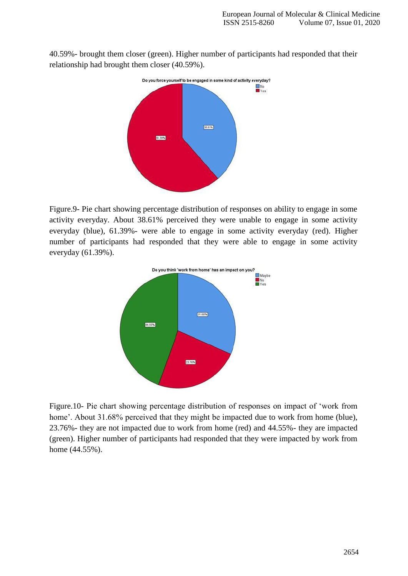40.59%- brought them closer (green). Higher number of participants had responded that their relationship had brought them closer (40.59%).



Figure.9- Pie chart showing percentage distribution of responses on ability to engage in some activity everyday. About 38.61% perceived they were unable to engage in some activity everyday (blue), 61.39%- were able to engage in some activity everyday (red). Higher number of participants had responded that they were able to engage in some activity everyday (61.39%).



Figure.10- Pie chart showing percentage distribution of responses on impact of 'work from home'. About 31.68% perceived that they might be impacted due to work from home (blue), 23.76%- they are not impacted due to work from home (red) and 44.55%- they are impacted (green). Higher number of participants had responded that they were impacted by work from home (44.55%).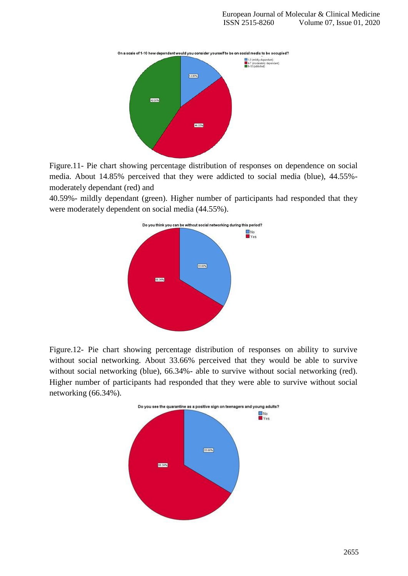

Figure.11- Pie chart showing percentage distribution of responses on dependence on social media. About 14.85% perceived that they were addicted to social media (blue), 44.55% moderately dependant (red) and

40.59%- mildly dependant (green). Higher number of participants had responded that they were moderately dependent on social media (44.55%).



Figure.12- Pie chart showing percentage distribution of responses on ability to survive without social networking. About 33.66% perceived that they would be able to survive without social networking (blue), 66.34%- able to survive without social networking (red). Higher number of participants had responded that they were able to survive without social networking (66.34%).

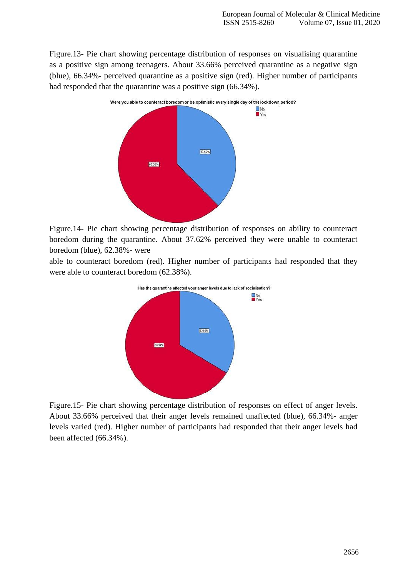Figure.13- Pie chart showing percentage distribution of responses on visualising quarantine as a positive sign among teenagers. About 33.66% perceived quarantine as a negative sign (blue), 66.34%- perceived quarantine as a positive sign (red). Higher number of participants had responded that the quarantine was a positive sign (66.34%).



Figure.14- Pie chart showing percentage distribution of responses on ability to counteract boredom during the quarantine. About 37.62% perceived they were unable to counteract boredom (blue), 62.38%- were

able to counteract boredom (red). Higher number of participants had responded that they were able to counteract boredom (62.38%).



Figure.15- Pie chart showing percentage distribution of responses on effect of anger levels. About 33.66% perceived that their anger levels remained unaffected (blue), 66.34%- anger levels varied (red). Higher number of participants had responded that their anger levels had been affected (66.34%).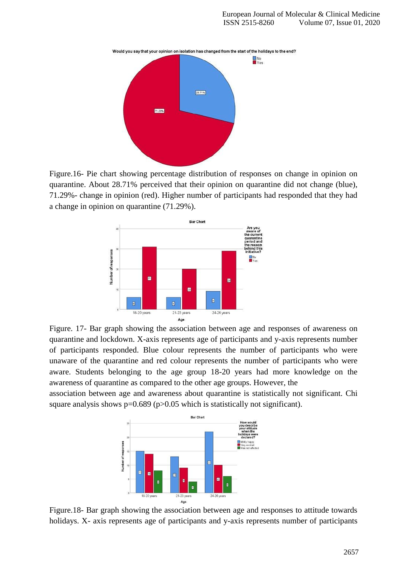

Figure.16- Pie chart showing percentage distribution of responses on change in opinion on quarantine. About 28.71% perceived that their opinion on quarantine did not change (blue), 71.29%- change in opinion (red). Higher number of participants had responded that they had a change in opinion on quarantine (71.29%).



Figure. 17- Bar graph showing the association between age and responses of awareness on quarantine and lockdown. X-axis represents age of participants and y-axis represents number of participants responded. Blue colour represents the number of participants who were unaware of the quarantine and red colour represents the number of participants who were aware. Students belonging to the age group 18-20 years had more knowledge on the awareness of quarantine as compared to the other age groups. However, the

association between age and awareness about quarantine is statistically not significant. Chi square analysis shows  $p=0.689$  ( $p>0.05$  which is statistically not significant).



Figure.18- Bar graph showing the association between age and responses to attitude towards holidays. X- axis represents age of participants and y-axis represents number of participants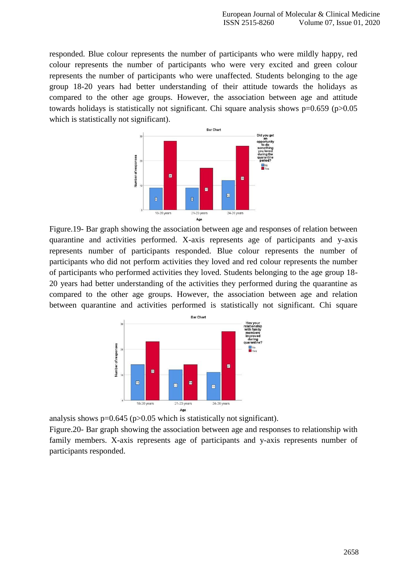responded. Blue colour represents the number of participants who were mildly happy, red colour represents the number of participants who were very excited and green colour represents the number of participants who were unaffected. Students belonging to the age group 18-20 years had better understanding of their attitude towards the holidays as compared to the other age groups. However, the association between age and attitude towards holidays is statistically not significant. Chi square analysis shows  $p=0.659$  ( $p>0.05$ ) which is statistically not significant).



Figure.19- Bar graph showing the association between age and responses of relation between quarantine and activities performed. X-axis represents age of participants and y-axis represents number of participants responded. Blue colour represents the number of participants who did not perform activities they loved and red colour represents the number of participants who performed activities they loved. Students belonging to the age group 18- 20 years had better understanding of the activities they performed during the quarantine as compared to the other age groups. However, the association between age and relation between quarantine and activities performed is statistically not significant. Chi square



analysis shows  $p=0.645$  ( $p>0.05$  which is statistically not significant).

Figure.20- Bar graph showing the association between age and responses to relationship with family members. X-axis represents age of participants and y-axis represents number of participants responded.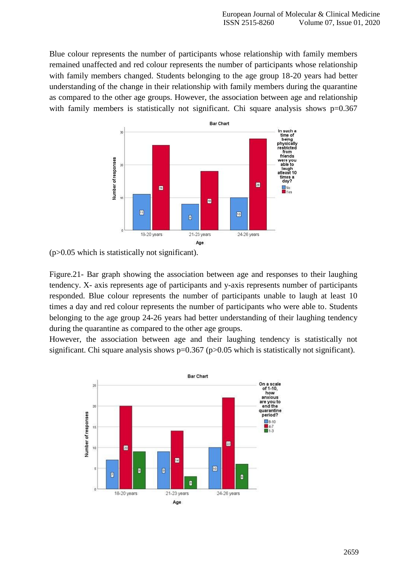Blue colour represents the number of participants whose relationship with family members remained unaffected and red colour represents the number of participants whose relationship with family members changed. Students belonging to the age group 18-20 years had better understanding of the change in their relationship with family members during the quarantine as compared to the other age groups. However, the association between age and relationship with family members is statistically not significant. Chi square analysis shows  $p=0.367$ 



(p>0.05 which is statistically not significant).

Figure.21- Bar graph showing the association between age and responses to their laughing tendency. X- axis represents age of participants and y-axis represents number of participants responded. Blue colour represents the number of participants unable to laugh at least 10 times a day and red colour represents the number of participants who were able to. Students belonging to the age group 24-26 years had better understanding of their laughing tendency during the quarantine as compared to the other age groups.

However, the association between age and their laughing tendency is statistically not significant. Chi square analysis shows p=0.367 (p>0.05 which is statistically not significant).

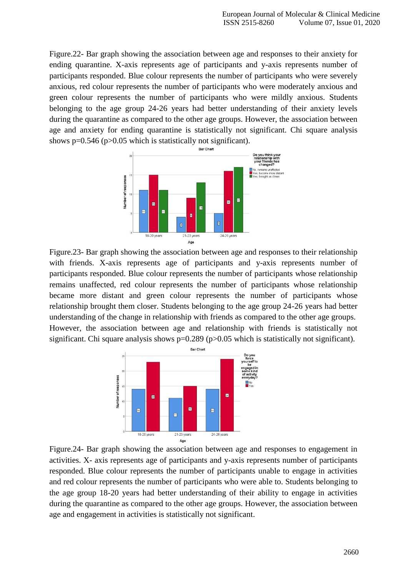Figure.22- Bar graph showing the association between age and responses to their anxiety for ending quarantine. X-axis represents age of participants and y-axis represents number of participants responded. Blue colour represents the number of participants who were severely anxious, red colour represents the number of participants who were moderately anxious and green colour represents the number of participants who were mildly anxious. Students belonging to the age group 24-26 years had better understanding of their anxiety levels during the quarantine as compared to the other age groups. However, the association between age and anxiety for ending quarantine is statistically not significant. Chi square analysis shows p=0.546 (p>0.05 which is statistically not significant).



Figure.23- Bar graph showing the association between age and responses to their relationship with friends. X-axis represents age of participants and y-axis represents number of participants responded. Blue colour represents the number of participants whose relationship remains unaffected, red colour represents the number of participants whose relationship became more distant and green colour represents the number of participants whose relationship brought them closer. Students belonging to the age group 24-26 years had better understanding of the change in relationship with friends as compared to the other age groups. However, the association between age and relationship with friends is statistically not significant. Chi square analysis shows  $p=0.289$  ( $p>0.05$  which is statistically not significant).



Figure.24- Bar graph showing the association between age and responses to engagement in activities. X- axis represents age of participants and y-axis represents number of participants responded. Blue colour represents the number of participants unable to engage in activities and red colour represents the number of participants who were able to. Students belonging to the age group 18-20 years had better understanding of their ability to engage in activities during the quarantine as compared to the other age groups. However, the association between age and engagement in activities is statistically not significant.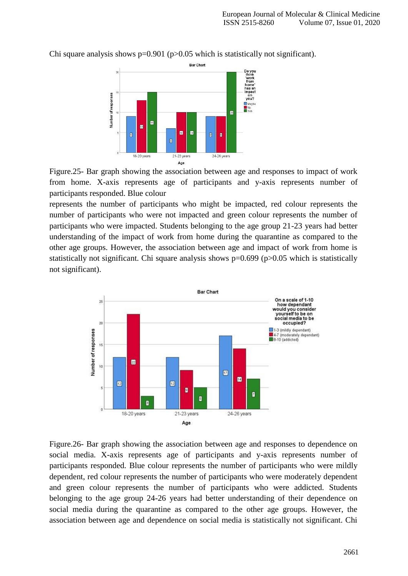Bar Chart Do you<br>think<br>'work<br>from<br>home'<br>has ar<br>impac Number of responses on<br>you? Maybe Ø E  $\blacksquare$ Ø œ ø  $\begin{bmatrix} 1 \\ 0 \end{bmatrix}$ 18-20 years 21-23 years 24-26 years Age

Chi square analysis shows  $p=0.901$  ( $p>0.05$  which is statistically not significant).

Figure.25- Bar graph showing the association between age and responses to impact of work from home. X-axis represents age of participants and y-axis represents number of participants responded. Blue colour

represents the number of participants who might be impacted, red colour represents the number of participants who were not impacted and green colour represents the number of participants who were impacted. Students belonging to the age group 21-23 years had better understanding of the impact of work from home during the quarantine as compared to the other age groups. However, the association between age and impact of work from home is statistically not significant. Chi square analysis shows  $p=0.699$  ( $p>0.05$  which is statistically not significant).



Figure.26- Bar graph showing the association between age and responses to dependence on social media. X-axis represents age of participants and y-axis represents number of participants responded. Blue colour represents the number of participants who were mildly dependent, red colour represents the number of participants who were moderately dependent and green colour represents the number of participants who were addicted. Students belonging to the age group 24-26 years had better understanding of their dependence on social media during the quarantine as compared to the other age groups. However, the association between age and dependence on social media is statistically not significant. Chi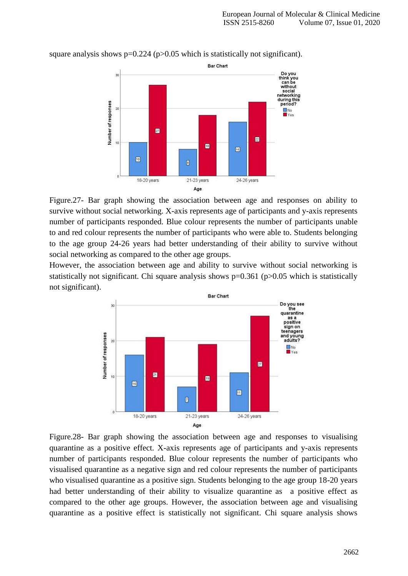

square analysis shows  $p=0.224$  ( $p>0.05$  which is statistically not significant).

Figure.27- Bar graph showing the association between age and responses on ability to survive without social networking. X-axis represents age of participants and y-axis represents number of participants responded. Blue colour represents the number of participants unable to and red colour represents the number of participants who were able to. Students belonging to the age group 24-26 years had better understanding of their ability to survive without social networking as compared to the other age groups.

However, the association between age and ability to survive without social networking is statistically not significant. Chi square analysis shows  $p=0.361$  ( $p>0.05$  which is statistically not significant).



Figure.28- Bar graph showing the association between age and responses to visualising quarantine as a positive effect. X-axis represents age of participants and y-axis represents number of participants responded. Blue colour represents the number of participants who visualised quarantine as a negative sign and red colour represents the number of participants who visualised quarantine as a positive sign. Students belonging to the age group 18-20 years had better understanding of their ability to visualize quarantine as a positive effect as compared to the other age groups. However, the association between age and visualising quarantine as a positive effect is statistically not significant. Chi square analysis shows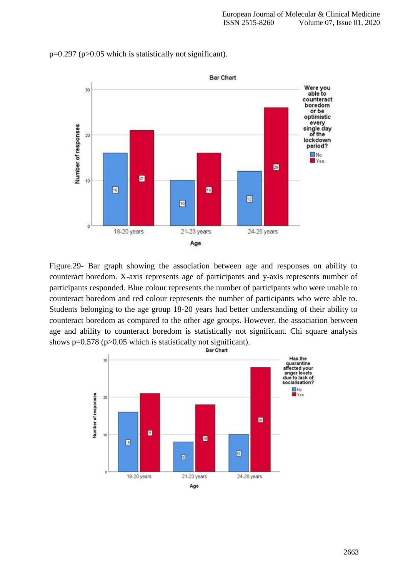

p=0.297 (p>0.05 which is statistically not significant).

Figure.29- Bar graph showing the association between age and responses on ability to counteract boredom. X-axis represents age of participants and y-axis represents number of participants responded. Blue colour represents the number of participants who were unable to counteract boredom and red colour represents the number of participants who were able to. Students belonging to the age group 18-20 years had better understanding of their ability to counteract boredom as compared to the other age groups. However, the association between age and ability to counteract boredom is statistically not significant. Chi square analysis shows p=0.578 (p>0.05 which is statistically not significant).<br>Bar Chart